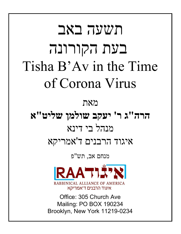# תשעה באב בעת הקורונה Tisha B'Av in the Time of Corona Virus מאת **הרה"ג ר' יעקב שולמן שליט"א** מנהל בי דינא איגוד הרבנים ד'אמריקא מנחם אב, תש"פ RAATI TX RABBINICAL ALLIANCE OF AMERICA איגוד הרבנים ד'אמריקא Office: 305 Church Ave

Mailing: PO BOX 190234 Brooklyn, New York 11219-0234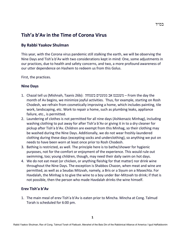### **Tish'a b'Av in the Time of Corona Virus**

#### **By Rabbi Yaakov Shulman**

This year, with the Corona virus pandemic still stalking the earth, we will be observing the Nine Days and Tish'a b'Av with two considerations kept in mind: One, some adjustments in our practices, due to health and safety concerns, and two, a more profound awareness of our utter dependence on Hashem to redeem us from this Golus.

First, the practices.

#### **Nine Days**

- 1. Chazal tell us (Mishnah, Taanis 26b): בשמחה ממעטים אב משנכנס From the day the month of Av begins, we minimize joyful activities. Thus, for example, starting on Rosh Chodesh, we refrain from cosmetically improving a home, which includes painting, tile work, landscaping, etc. Work to repair a home, such as plumbing leaks, appliance failure, etc., is permitted.
- 2. Laundering of clothes is not permitted for all nine days (Ashkenazic Minhag), including washing clothing to put away for after Tish'a b'Av or giving it in to a dry cleaner for pickup after Tish'a b'Av. Children are exempt from this Minhag, so their clothing may be washed during the Nine Days. Additionally, we do not wear freshly-laundered clothing during these days (excepting socks and underclothing), so anything we put on needs to have been worn at least once prior to Rosh Chodesh.
- 3. Bathing is restricted, as well. The principle here is to bathe/shower for hygienic purposes, not for the comfort or enjoyment of the experience. This would rule out swimming, too; young children, though, may need their daily swim on hot days.
- 4. We do not eat meat (or chicken, or anything fleishig for that matter) nor drink wine throughout the Nine Days. The exception is Shabbos Chazon, when meat and wine are permitted, as well as a Seudas Mitzvah, namely, a Bris or a Siyum on a Masechta. For Havdalah, the Minhag is to give the wine to a boy under Bar-Mitzvah to drink; if that is not possible, then the person who made Havdalah drinks the wine himself.

#### **Erev Tish'a b'Av**

1. The main meal of erev Tish'a b'Av is eaten prior to Mincha. Mincha at Cong. Talmud Torah is scheduled for 6:00 pm.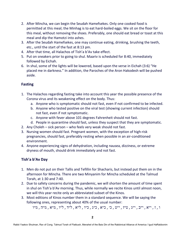- 2. After Mincha, we can begin the Seudah Hamefsekes. Only one cooked food is permitted at this meal; the Minhag is to eat hard-boiled eggs. We sit on the floor for this meal, without removing the shoes. Preferably, one should eat bread or toast at this meal and dip the Hamotzi into ashes.
- 3. After the Seudah Hamefsekes, one may continue eating, drinking, brushing the teeth, etc., until the start of the fast at 8:13 pm.
- 4. After that time, all Halachos of Tish'a b'Av take effect.
- 5. Put on sneakers prior to going to shul. Maariv is scheduled for 8:40, immediately followed by Eichah.
- 6. In shul, some of the lights will be lowered, based upon the verse in Eichah (3:6) "He placed me in darkness." In addition, the Paroches of the Aron Hakodesh will be pushed aside.

#### **Fasting**

- 1. The Halachos regarding fasting take into account this year the possible presence of the Corona virus and its weakening effect on the body. Thus:
	- a. Anyone who is symptomatic should not fast, even if not confirmed to be infected.
	- b. Anyone who tested positive on the viral test (showing current infection) should not fast, even if not symptomatic.
	- c. Anyone with fever above 101 degrees Fahrenheit should not fast.
	- d. People in quarantine should fast, unless they suspect that they are symptomatic.
- 2. Any Choleh sick person who feels very weak should not fast.
- 3. Nursing women should fast. Pregnant women, with the exception of high-risk pregnancies, should fast, preferably resting when possible in an air-conditioned environment.
- 4. Anyone experiencing signs of dehydration, including nausea, dizziness, or extreme dryness of mouth, should drink immediately and not fast.

#### **Tish'a b'Av Day**

- 1. Men do not put on their Tallis and Tefillin for Shacharis, but instead put them on in the afternoon for Mincha. There are two Minyanim for Mincha scheduled at the Talmud Torah, at 1:30 and 7:40.
- 2. Due to safety concerns during the pandemic, we will shorten the amount of time spent in shul on Tish'a b'Av morning. Thus, while normally we recite Kinos until almost noon, we will this year recite only an abbreviated subset of the Kinos.
- 3. Most editions of Kinos number them in a standard sequence. We will be saying the following ones, representing about 40% of the usual number:

ו , ז , י״א , י״ב , י״ג , ט״ז , י״ט , כ׳ , כ״א , כ״ג , כ״ו , ל״א , ל״ד , ל״ו , מ״א , מ״ה , מ״ו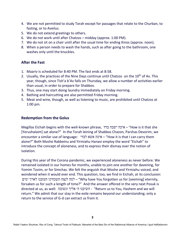- 4. We are not permitted to study Torah except for passages that relate to the Churban, to fasting, or to Aveilus.
- 5. We do not extend greetings to others.
- 6. We do not work until after Chatzos midday (approx. 1:00 PM).
- 7. We do not sit on a chair until after the usual time for ending Kinos (approx. noon).
- 8. When a person needs to wash the hands, such as after going to the bathroom, one washes only until the knuckles.

#### **After the Fast**

- 1. Maariv is scheduled for 8:40 PM. The fast ends at 8:58.
- 2. Usually, the practices of the Nine Days continue until Chatzos on the 10<sup>th</sup> of Av. This year, though, since Tish'a b'Av falls on Thursday, we allow a number of activities earlier than usual, in order to prepare for Shabbos.
- 3. Thus, one may start doing laundry immediately on Friday morning.
- 4. Bathing and haircutting are also permitted Friday morning.
- 5. Meat and wine, though, as well as listening to music, are prohibited until Chatzos at 1:00 pm.

#### **Redemption from the Golus**

Megillas Eichah begins with the well-known phrase, בדד ישבה איכה" – How is it that she [Yerushalaim] sat alone?" In the Torah leining of Shabbos Chazon, Parshas Devorim, we encounter a similar use of language: לבדי אשא איכה" – How it is that I can carry them alone?" Both Moshe Rabbeinu and Yirmiahu Hanavi employ the word "Eichah" to introduce the concept of aloneness, and to express their dismay over the notion of isolation.

During this year of the Corona pandemic, we experienced aloneness as never before. We remained isolated in our homes for months, unable to join one another for davening, for Yomim Tovim, or for Simchas. We felt the anguish that Moshe and Yirmiahu voiced, and wondered when it would ever end. This question, too, we find in Eichah, at its conclusion: ימים (לנצח תשכחינו תעזבנו לארך ימים – "Why have You forgotten us for [seeming] eternity, forsaken us for such a length of time?" And the answer offered in the very next Posuk is directed at us, as well: ונשובה אליך ה׳ השיבנו -" Return us to You, Hashem and we will return." We admit that our stay in the exile remains beyond our understanding; only a return to the service of G-d can extract us from it.